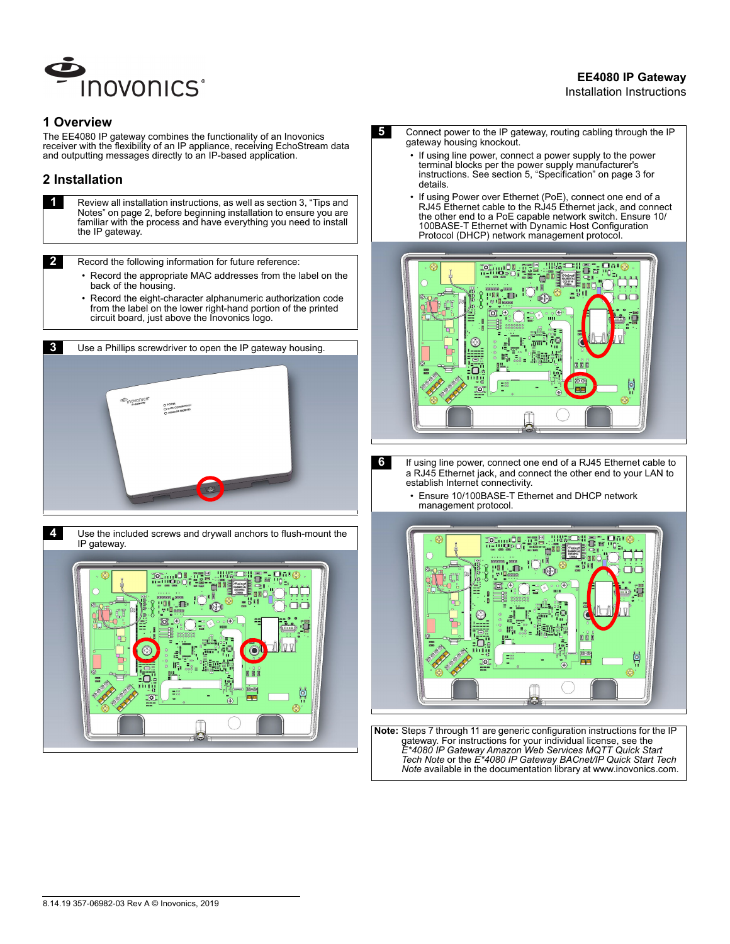

# **EE4080 IP Gateway**

#### Installation Instructions

#### **1 Overview**

The EE4080 IP gateway combines the functionality of an Inovonics receiver with the flexibility of an IP appliance, receiving EchoStream data and outputting messages directly to an IP-based application.

## **2 Installation**

**1 Review all installation instructions, as well as section 3, "Tips and** Notes" on page 2, before beginning installation to ensure you are familiar with the process and have everything you need to install the IP gateway.

**2** Record the following information for future reference:

- Record the appropriate MAC addresses from the label on the back of the housing.
- Record the eight-character alphanumeric authorization code from the label on the lower right-hand portion of the printed circuit board, just above the Inovonics logo.





- **5** Connect power to the IP gateway, routing cabling through the IP gateway housing knockout.
	- If using line power, connect a power supply to the power terminal blocks per the power supply manufacturer's instructions. See section 5, "Specification" on page 3 for details.
	- If using Power over Ethernet (PoE), connect one end of a RJ45 Ethernet cable to the RJ45 Ethernet jack, and connect the other end to a PoE capable network switch. Ensure 10/ 100BASE-T Ethernet with Dynamic Host Configuration Protocol (DHCP) network management protocol.



- **6** If using line power, connect one end of a RJ45 Ethernet cable to a RJ45 Ethernet jack, and connect the other end to your LAN to establish Internet connectivity.
	- Ensure 10/100BASE-T Ethernet and DHCP network management protocol.



 **Note:** Steps 7 through 11 are generic configuration instructions for the IP gateway. For instructions for your individual license, see the *E\*4080 IP Gateway Amazon Web Services MQTT Quick Start Tech Note* or the *E\*4080 IP Gateway BACnet/IP Quick Start Tech Note* available in the documentation library at www.inovonics.com.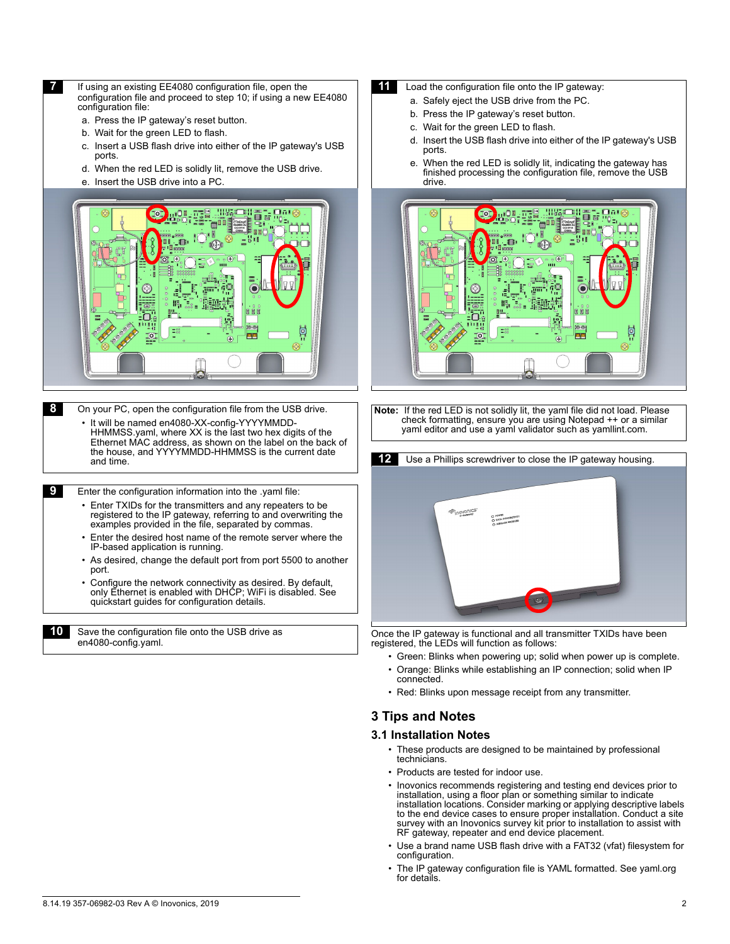- *If* If using an existing EE4080 configuration file, open the configuration file and proceed to step 10; if using a new EE4080 configuration file:
	- a. Press the IP gateway's reset button.
	- b. Wait for the green LED to flash.
	- c. Insert a USB flash drive into either of the IP gateway's USB ports.
	- d. When the red LED is solidly lit, remove the USB drive.
	- e. Insert the USB drive into a PC.



**8** On your PC, open the configuration file from the USB drive.

• It will be named en4080-XX-config-YYYYMMDD-HHMMSS.yaml, where XX is the last two hex digits of the Ethernet MAC address, as shown on the label on the back of the house, and YYYYMMDD-HHMMSS is the current date and time.

 **9** Enter the configuration information into the .yaml file:

- Enter TXIDs for the transmitters and any repeaters to be registered to the IP gateway, referring to and overwriting the examples provided in the file, separated by commas.
- Enter the desired host name of the remote server where the IP-based application is running.
- As desired, change the default port from port 5500 to another port.
- Configure the network connectivity as desired. By default, only Ethernet is enabled with DHCP; WiFi is disabled. See quickstart guides for configuration details.

**10** Save the configuration file onto the USB drive as en4080-config.yaml.

- **11** Load the configuration file onto the IP gateway:
	- a. Safely eject the USB drive from the PC.
	- b. Press the IP gateway's reset button.
	- c. Wait for the green LED to flash.
	- d. Insert the USB flash drive into either of the IP gateway's USB ports.
	- e. When the red LED is solidly lit, indicating the gateway has finished processing the configuration file, remove the USB drive.



 **Note:** If the red LED is not solidly lit, the yaml file did not load. Please check formatting, ensure you are using Notepad ++ or a similar yaml editor and use a yaml validator such as yamllint.com.



Once the IP gateway is functional and all transmitter TXIDs have been registered, the LEDs will function as follows:

- Green: Blinks when powering up; solid when power up is complete.
- Orange: Blinks while establishing an IP connection; solid when IP connected.
- Red: Blinks upon message receipt from any transmitter.

## **3 Tips and Notes**

#### **3.1 Installation Notes**

- These products are designed to be maintained by professional technicians.
- Products are tested for indoor use.
- Inovonics recommends registering and testing end devices prior to installation, using a floor plan or something similar to indicate installation locations. Consider marking or applying descriptive labels to the end device cases to ensure proper installation. Conduct a site survey with an Inovonics survey kit prior to installation to assist with RF gateway, repeater and end device placement.
- Use a brand name USB flash drive with a FAT32 (vfat) filesystem for configuration.
- The IP gateway configuration file is YAML formatted. See yaml.org for details.